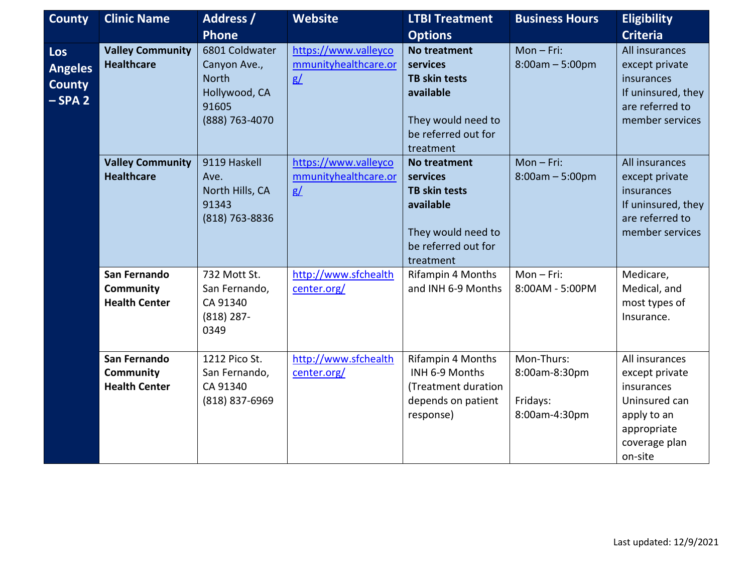| <b>County</b>                                            | <b>Clinic Name</b>                                       | <b>Address /</b><br><b>Phone</b>                                                           | <b>Website</b>                                     | <b>LTBI Treatment</b><br><b>Options</b>                                                                                        | <b>Business Hours</b>                                    | <b>Eligibility</b><br><b>Criteria</b>                                                                                     |
|----------------------------------------------------------|----------------------------------------------------------|--------------------------------------------------------------------------------------------|----------------------------------------------------|--------------------------------------------------------------------------------------------------------------------------------|----------------------------------------------------------|---------------------------------------------------------------------------------------------------------------------------|
| <b>Los</b><br><b>Angeles</b><br><b>County</b><br>$-SPA2$ | <b>Valley Community</b><br><b>Healthcare</b>             | 6801 Coldwater<br>Canyon Ave.,<br><b>North</b><br>Hollywood, CA<br>91605<br>(888) 763-4070 | https://www.valleyco<br>mmunityhealthcare.or<br>g/ | <b>No treatment</b><br>services<br><b>TB skin tests</b><br>available<br>They would need to<br>be referred out for<br>treatment | $Mon-Fri:$<br>$8:00am - 5:00pm$                          | All insurances<br>except private<br>insurances<br>If uninsured, they<br>are referred to<br>member services                |
|                                                          | <b>Valley Community</b><br><b>Healthcare</b>             | 9119 Haskell<br>Ave.<br>North Hills, CA<br>91343<br>(818) 763-8836                         | https://www.valleyco<br>mmunityhealthcare.or<br>g/ | No treatment<br>services<br><b>TB skin tests</b><br>available<br>They would need to<br>be referred out for<br>treatment        | $Mon-Fri:$<br>$8:00am - 5:00pm$                          | All insurances<br>except private<br>insurances<br>If uninsured, they<br>are referred to<br>member services                |
|                                                          | San Fernando<br><b>Community</b><br><b>Health Center</b> | 732 Mott St.<br>San Fernando,<br>CA 91340<br>$(818)$ 287-<br>0349                          | http://www.sfchealth<br>center.org/                | Rifampin 4 Months<br>and INH 6-9 Months                                                                                        | $Mon-Fri:$<br>8:00AM - 5:00PM                            | Medicare,<br>Medical, and<br>most types of<br>Insurance.                                                                  |
|                                                          | San Fernando<br><b>Community</b><br><b>Health Center</b> | 1212 Pico St.<br>San Fernando,<br>CA 91340<br>(818) 837-6969                               | http://www.sfchealth<br>center.org/                | Rifampin 4 Months<br>INH 6-9 Months<br>(Treatment duration<br>depends on patient<br>response)                                  | Mon-Thurs:<br>8:00am-8:30pm<br>Fridays:<br>8:00am-4:30pm | All insurances<br>except private<br>insurances<br>Uninsured can<br>apply to an<br>appropriate<br>coverage plan<br>on-site |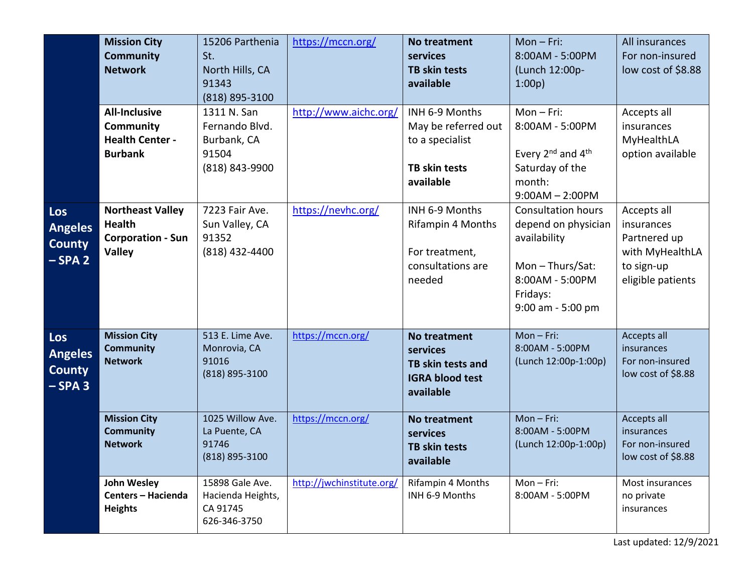|                                                   | <b>Mission City</b><br><b>Community</b><br><b>Network</b>                             | 15206 Parthenia<br>St.<br>North Hills, CA<br>91343<br>(818) 895-3100    | https://mccn.org/         | <b>No treatment</b><br>services<br><b>TB skin tests</b><br>available                          | $Mon-Fri:$<br>8:00AM - 5:00PM<br>(Lunch 12:00p-<br>1:00p                                                                                     | All insurances<br>For non-insured<br>low cost of \$8.88                                         |
|---------------------------------------------------|---------------------------------------------------------------------------------------|-------------------------------------------------------------------------|---------------------------|-----------------------------------------------------------------------------------------------|----------------------------------------------------------------------------------------------------------------------------------------------|-------------------------------------------------------------------------------------------------|
|                                                   | <b>All-Inclusive</b><br><b>Community</b><br><b>Health Center -</b><br><b>Burbank</b>  | 1311 N. San<br>Fernando Blvd.<br>Burbank, CA<br>91504<br>(818) 843-9900 | http://www.aichc.org/     | INH 6-9 Months<br>May be referred out<br>to a specialist<br><b>TB skin tests</b><br>available | $Mon-Fri:$<br>8:00AM - 5:00PM<br>Every 2 <sup>nd</sup> and 4 <sup>th</sup><br>Saturday of the<br>month:<br>$9:00AM - 2:00PM$                 | Accepts all<br>insurances<br>MyHealthLA<br>option available                                     |
| Los<br><b>Angeles</b><br><b>County</b><br>$-SPA2$ | <b>Northeast Valley</b><br><b>Health</b><br><b>Corporation - Sun</b><br><b>Valley</b> | 7223 Fair Ave.<br>Sun Valley, CA<br>91352<br>$(818)$ 432-4400           | https://nevhc.org/        | INH 6-9 Months<br><b>Rifampin 4 Months</b><br>For treatment,<br>consultations are<br>needed   | <b>Consultation hours</b><br>depend on physician<br>availability<br>Mon $-$ Thurs/Sat:<br>8:00AM - 5:00PM<br>Fridays:<br>$9:00$ am - 5:00 pm | Accepts all<br>insurances<br>Partnered up<br>with MyHealthLA<br>to sign-up<br>eligible patients |
| Los<br><b>Angeles</b><br><b>County</b><br>$-SPA3$ | <b>Mission City</b><br><b>Community</b><br><b>Network</b>                             | 513 E. Lime Ave.<br>Monrovia, CA<br>91016<br>(818) 895-3100             | https://mccn.org/         | <b>No treatment</b><br>services<br>TB skin tests and<br><b>IGRA blood test</b><br>available   | $Mon-Fri:$<br>8:00AM - 5:00PM<br>(Lunch 12:00p-1:00p)                                                                                        | Accepts all<br>insurances<br>For non-insured<br>low cost of \$8.88                              |
|                                                   | <b>Mission City</b><br><b>Community</b><br><b>Network</b>                             | 1025 Willow Ave.<br>La Puente, CA<br>91746<br>(818) 895-3100            | https://mccn.org/         | No treatment<br>services<br><b>TB skin tests</b><br>available                                 | Mon-Fri:<br>8:00AM - 5:00PM<br>(Lunch 12:00p-1:00p)                                                                                          | Accepts all<br>insurances<br>For non-insured<br>low cost of \$8.88                              |
|                                                   | John Wesley<br><b>Centers - Hacienda</b><br><b>Heights</b>                            | 15898 Gale Ave.<br>Hacienda Heights,<br>CA 91745<br>626-346-3750        | http://jwchinstitute.org/ | Rifampin 4 Months<br>INH 6-9 Months                                                           | Mon-Fri:<br>8:00AM - 5:00PM                                                                                                                  | Most insurances<br>no private<br>insurances                                                     |

Last updated: 12/9/2021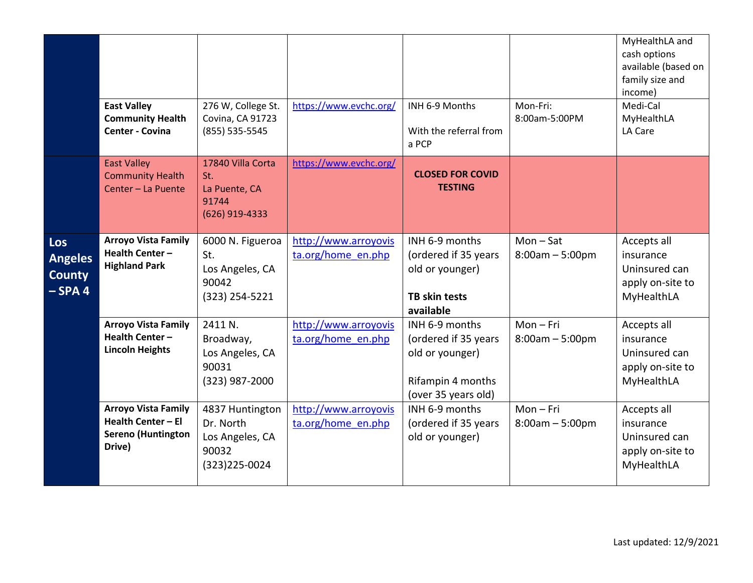|                                                     | <b>East Valley</b><br><b>Community Health</b><br><b>Center - Covina</b>                 | 276 W, College St.<br>Covina, CA 91723<br>(855) 535-5545                   | https://www.evchc.org/                     | INH 6-9 Months<br>With the referral from<br>a PCP                                                     | Mon-Fri:<br>8:00am-5:00PM      | MyHealthLA and<br>cash options<br>available (based on<br>family size and<br>income)<br>Medi-Cal<br>MyHealthLA<br>LA Care |
|-----------------------------------------------------|-----------------------------------------------------------------------------------------|----------------------------------------------------------------------------|--------------------------------------------|-------------------------------------------------------------------------------------------------------|--------------------------------|--------------------------------------------------------------------------------------------------------------------------|
|                                                     | <b>East Valley</b><br><b>Community Health</b><br>Center - La Puente                     | 17840 Villa Corta<br>St.<br>La Puente, CA<br>91744<br>(626) 919-4333       | https://www.evchc.org/                     | <b>CLOSED FOR COVID</b><br><b>TESTING</b>                                                             |                                |                                                                                                                          |
| Los<br><b>Angeles</b><br><b>County</b><br>$-$ SPA 4 | <b>Arroyo Vista Family</b><br>Health Center-<br><b>Highland Park</b>                    | 6000 N. Figueroa<br>St.<br>Los Angeles, CA<br>90042<br>(323) 254-5221      | http://www.arroyovis<br>ta.org/home en.php | INH 6-9 months<br>(ordered if 35 years<br>old or younger)<br><b>TB skin tests</b><br>available        | $Mon-Sat$<br>$8:00am - 5:00pm$ | Accepts all<br>insurance<br>Uninsured can<br>apply on-site to<br>MyHealthLA                                              |
|                                                     | <b>Arroyo Vista Family</b><br>Health Center-<br><b>Lincoln Heights</b>                  | 2411 N.<br>Broadway,<br>Los Angeles, CA<br>90031<br>(323) 987-2000         | http://www.arroyovis<br>ta.org/home en.php | INH 6-9 months<br>(ordered if 35 years<br>old or younger)<br>Rifampin 4 months<br>(over 35 years old) | $Mon-Fri$<br>$8:00am - 5:00pm$ | Accepts all<br>insurance<br>Uninsured can<br>apply on-site to<br>MyHealthLA                                              |
|                                                     | <b>Arroyo Vista Family</b><br>Health Center - El<br><b>Sereno (Huntington</b><br>Drive) | 4837 Huntington<br>Dr. North<br>Los Angeles, CA<br>90032<br>(323) 225-0024 | http://www.arroyovis<br>ta.org/home en.php | INH 6-9 months<br>(ordered if 35 years<br>old or younger)                                             | $Mon-Fri$<br>$8:00am - 5:00pm$ | Accepts all<br>insurance<br>Uninsured can<br>apply on-site to<br>MyHealthLA                                              |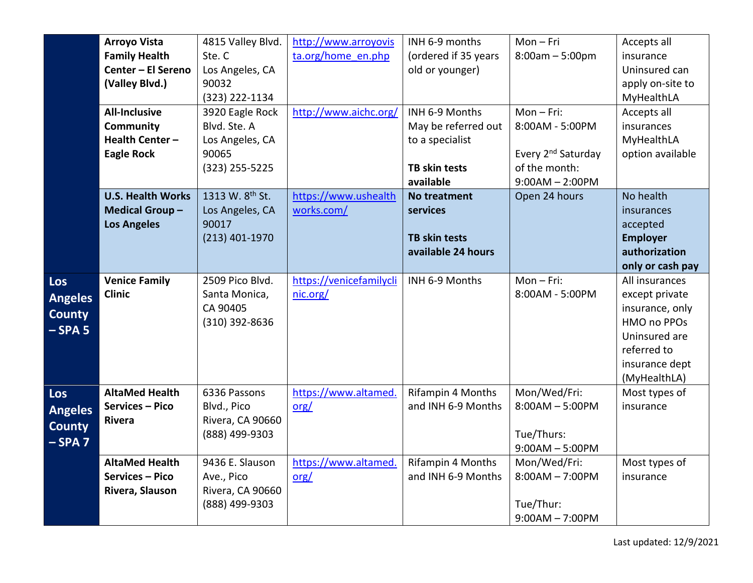|                | <b>Arroyo Vista</b>      | 4815 Valley Blvd.           | http://www.arroyovis    | INH 6-9 months       | $Mon-Fri$                      | Accepts all      |
|----------------|--------------------------|-----------------------------|-------------------------|----------------------|--------------------------------|------------------|
|                | <b>Family Health</b>     | Ste.C                       | ta.org/home en.php      | (ordered if 35 years | $8:00am - 5:00pm$              | insurance        |
|                | Center - El Sereno       | Los Angeles, CA             |                         | old or younger)      |                                | Uninsured can    |
|                | (Valley Blvd.)           | 90032                       |                         |                      |                                | apply on-site to |
|                |                          | $(323)$ 222-1134            |                         |                      |                                | MyHealthLA       |
|                | <b>All-Inclusive</b>     | 3920 Eagle Rock             | http://www.aichc.org/   | INH 6-9 Months       | $Mon-Fri:$                     | Accepts all      |
|                | Community                | Blvd. Ste. A                |                         | May be referred out  | 8:00AM - 5:00PM                | insurances       |
|                | Health Center-           | Los Angeles, CA             |                         | to a specialist      |                                | MyHealthLA       |
|                | <b>Eagle Rock</b>        | 90065                       |                         |                      | Every 2 <sup>nd</sup> Saturday | option available |
|                |                          | (323) 255-5225              |                         | <b>TB skin tests</b> | of the month:                  |                  |
|                |                          |                             |                         | available            | $9:00AM - 2:00PM$              |                  |
|                | <b>U.S. Health Works</b> | 1313 W. 8 <sup>th</sup> St. | https://www.ushealth    | No treatment         | Open 24 hours                  | No health        |
|                | <b>Medical Group-</b>    | Los Angeles, CA             | works.com/              | services             |                                | insurances       |
|                | <b>Los Angeles</b>       | 90017                       |                         |                      |                                | accepted         |
|                |                          | $(213)$ 401-1970            |                         | <b>TB skin tests</b> |                                | <b>Employer</b>  |
|                |                          |                             |                         | available 24 hours   |                                | authorization    |
|                |                          |                             |                         |                      |                                | only or cash pay |
| <b>Los</b>     | <b>Venice Family</b>     | 2509 Pico Blvd.             | https://venicefamilycli | INH 6-9 Months       | $Mon-Fri:$                     | All insurances   |
| <b>Angeles</b> | <b>Clinic</b>            | Santa Monica,               | nic.org/                |                      | 8:00AM - 5:00PM                | except private   |
| <b>County</b>  |                          | CA 90405                    |                         |                      |                                | insurance, only  |
| $-$ SPA 5      |                          | (310) 392-8636              |                         |                      |                                | HMO no PPOs      |
|                |                          |                             |                         |                      |                                | Uninsured are    |
|                |                          |                             |                         |                      |                                | referred to      |
|                |                          |                             |                         |                      |                                | insurance dept   |
|                |                          |                             |                         |                      |                                | (MyHealthLA)     |
| <b>Los</b>     | <b>AltaMed Health</b>    | 6336 Passons                | https://www.altamed.    | Rifampin 4 Months    | Mon/Wed/Fri:                   | Most types of    |
| <b>Angeles</b> | Services - Pico          | Blvd., Pico                 | org/                    | and INH 6-9 Months   | $8:00AM - 5:00PM$              | insurance        |
| <b>County</b>  | Rivera                   | Rivera, CA 90660            |                         |                      |                                |                  |
| $-SPA7$        |                          | (888) 499-9303              |                         |                      | Tue/Thurs:                     |                  |
|                |                          |                             |                         |                      | $9:00AM - 5:00PM$              |                  |
|                | <b>AltaMed Health</b>    | 9436 E. Slauson             | https://www.altamed.    | Rifampin 4 Months    | Mon/Wed/Fri:                   | Most types of    |
|                | Services - Pico          | Ave., Pico                  | org/                    | and INH 6-9 Months   | $8:00AM - 7:00PM$              | insurance        |
|                | Rivera, Slauson          | Rivera, CA 90660            |                         |                      |                                |                  |
|                |                          | (888) 499-9303              |                         |                      | Tue/Thur:                      |                  |
|                |                          |                             |                         |                      | $9:00AM - 7:00PM$              |                  |